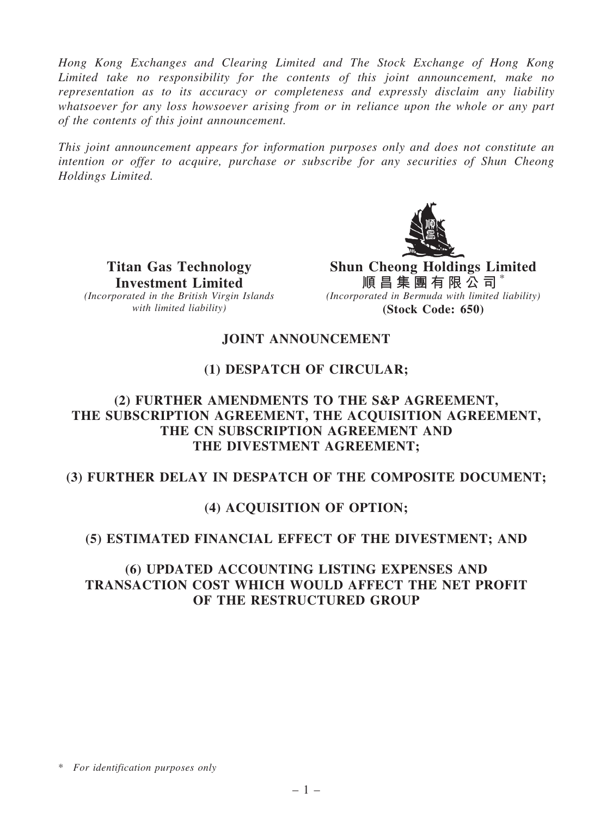Hong Kong Exchanges and Clearing Limited and The Stock Exchange of Hong Kong Limited take no responsibility for the contents of this joint announcement, make no representation as to its accuracy or completeness and expressly disclaim any liability whatsoever for any loss howsoever arising from or in reliance upon the whole or any part of the contents of this joint announcement.

This joint announcement appears for information purposes only and does not constitute an intention or offer to acquire, purchase or subscribe for any securities of Shun Cheong Holdings Limited.



Titan Gas Technology Investment Limited (Incorporated in the British Virgin Islands with limited liability)

Shun Cheong Holdings Limited 順 昌 集 團 有 限 公 司  $^*$ (Incorporated in Bermuda with limited liability) (Stock Code: 650)

## JOINT ANNOUNCEMENT

## (1) DESPATCH OF CIRCULAR;

## (2) FURTHER AMENDMENTS TO THE S&P AGREEMENT, THE SUBSCRIPTION AGREEMENT, THE ACQUISITION AGREEMENT, THE CN SUBSCRIPTION AGREEMENT AND THE DIVESTMENT AGREEMENT;

## (3) FURTHER DELAY IN DESPATCH OF THE COMPOSITE DOCUMENT;

## (4) ACQUISITION OF OPTION;

## (5) ESTIMATED FINANCIAL EFFECT OF THE DIVESTMENT; AND

## (6) UPDATED ACCOUNTING LISTING EXPENSES AND TRANSACTION COST WHICH WOULD AFFECT THE NET PROFIT OF THE RESTRUCTURED GROUP

\* For identification purposes only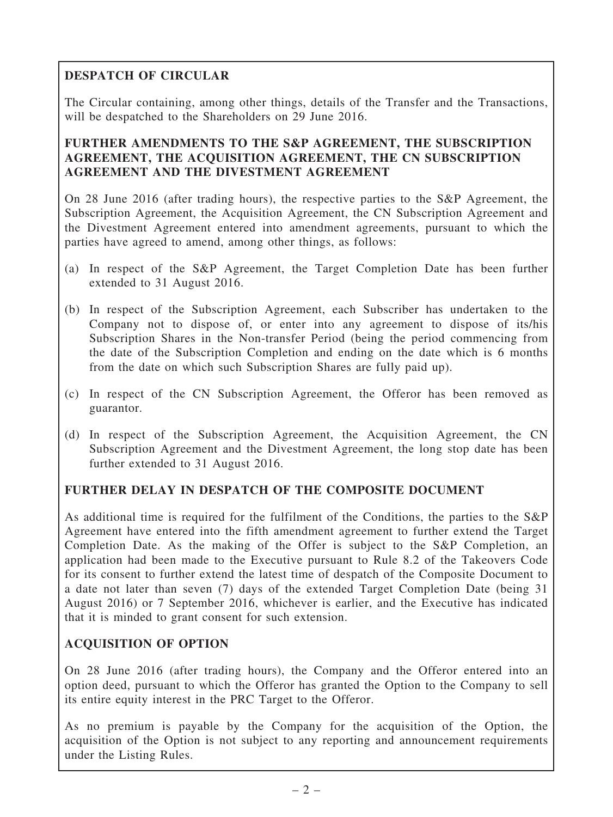# DESPATCH OF CIRCULAR

The Circular containing, among other things, details of the Transfer and the Transactions, will be despatched to the Shareholders on 29 June 2016.

## FURTHER AMENDMENTS TO THE S&P AGREEMENT, THE SUBSCRIPTION AGREEMENT, THE ACQUISITION AGREEMENT, THE CN SUBSCRIPTION AGREEMENT AND THE DIVESTMENT AGREEMENT

On 28 June 2016 (after trading hours), the respective parties to the S&P Agreement, the Subscription Agreement, the Acquisition Agreement, the CN Subscription Agreement and the Divestment Agreement entered into amendment agreements, pursuant to which the parties have agreed to amend, among other things, as follows:

- (a) In respect of the S&P Agreement, the Target Completion Date has been further extended to 31 August 2016.
- (b) In respect of the Subscription Agreement, each Subscriber has undertaken to the Company not to dispose of, or enter into any agreement to dispose of its/his Subscription Shares in the Non-transfer Period (being the period commencing from the date of the Subscription Completion and ending on the date which is 6 months from the date on which such Subscription Shares are fully paid up).
- (c) In respect of the CN Subscription Agreement, the Offeror has been removed as guarantor.
- (d) In respect of the Subscription Agreement, the Acquisition Agreement, the CN Subscription Agreement and the Divestment Agreement, the long stop date has been further extended to 31 August 2016.

## FURTHER DELAY IN DESPATCH OF THE COMPOSITE DOCUMENT

As additional time is required for the fulfilment of the Conditions, the parties to the S&P Agreement have entered into the fifth amendment agreement to further extend the Target Completion Date. As the making of the Offer is subject to the S&P Completion, an application had been made to the Executive pursuant to Rule 8.2 of the Takeovers Code for its consent to further extend the latest time of despatch of the Composite Document to a date not later than seven (7) days of the extended Target Completion Date (being 31 August 2016) or 7 September 2016, whichever is earlier, and the Executive has indicated that it is minded to grant consent for such extension.

## ACQUISITION OF OPTION

On 28 June 2016 (after trading hours), the Company and the Offeror entered into an option deed, pursuant to which the Offeror has granted the Option to the Company to sell its entire equity interest in the PRC Target to the Offeror.

As no premium is payable by the Company for the acquisition of the Option, the acquisition of the Option is not subject to any reporting and announcement requirements under the Listing Rules.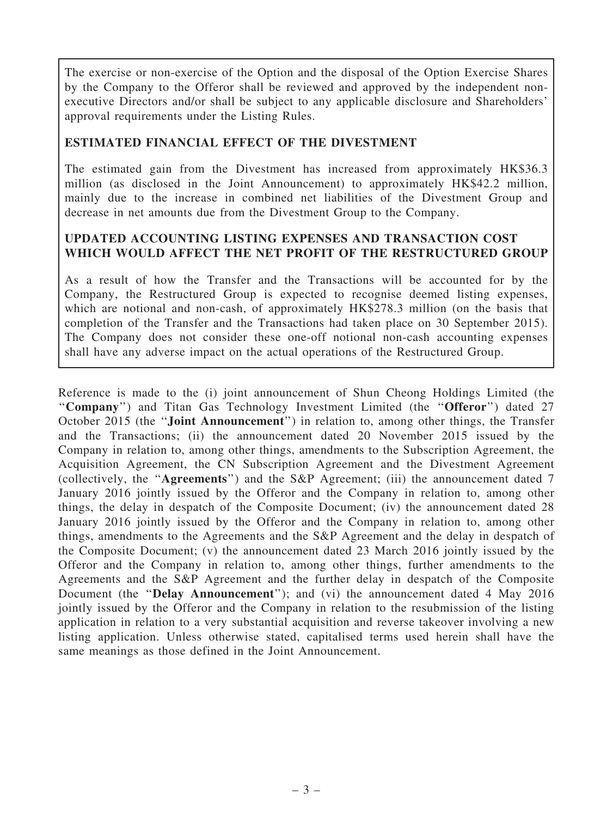The exercise or non-exercise of the Option and the disposal of the Option Exercise Shares by the Company to the Offeror shall be reviewed and approved by the independent nonexecutive Directors and/or shall be subject to any applicable disclosure and Shareholders' approval requirements under the Listing Rules.

## ESTIMATED FINANCIAL EFFECT OF THE DIVESTMENT

The estimated gain from the Divestment has increased from approximately HK\$36.3 million (as disclosed in the Joint Announcement) to approximately HK\$42.2 million, mainly due to the increase in combined net liabilities of the Divestment Group and decrease in net amounts due from the Divestment Group to the Company.

## UPDATED ACCOUNTING LISTING EXPENSES AND TRANSACTION COST WHICH WOULD AFFECT THE NET PROFIT OF THE RESTRUCTURED GROUP

As a result of how the Transfer and the Transactions will be accounted for by the Company, the Restructured Group is expected to recognise deemed listing expenses, which are notional and non-cash, of approximately HK\$278.3 million (on the basis that completion of the Transfer and the Transactions had taken place on 30 September 2015). The Company does not consider these one-off notional non-cash accounting expenses shall have any adverse impact on the actual operations of the Restructured Group.

Reference is made to the (i) joint announcement of Shun Cheong Holdings Limited (the ''Company'') and Titan Gas Technology Investment Limited (the ''Offeror'') dated 27 October 2015 (the ''Joint Announcement'') in relation to, among other things, the Transfer and the Transactions; (ii) the announcement dated 20 November 2015 issued by the Company in relation to, among other things, amendments to the Subscription Agreement, the Acquisition Agreement, the CN Subscription Agreement and the Divestment Agreement (collectively, the ''Agreements'') and the S&P Agreement; (iii) the announcement dated 7 January 2016 jointly issued by the Offeror and the Company in relation to, among other things, the delay in despatch of the Composite Document; (iv) the announcement dated 28 January 2016 jointly issued by the Offeror and the Company in relation to, among other things, amendments to the Agreements and the S&P Agreement and the delay in despatch of the Composite Document; (v) the announcement dated 23 March 2016 jointly issued by the Offeror and the Company in relation to, among other things, further amendments to the Agreements and the S&P Agreement and the further delay in despatch of the Composite Document (the "Delay Announcement"); and (vi) the announcement dated 4 May 2016 jointly issued by the Offeror and the Company in relation to the resubmission of the listing application in relation to a very substantial acquisition and reverse takeover involving a new listing application. Unless otherwise stated, capitalised terms used herein shall have the same meanings as those defined in the Joint Announcement.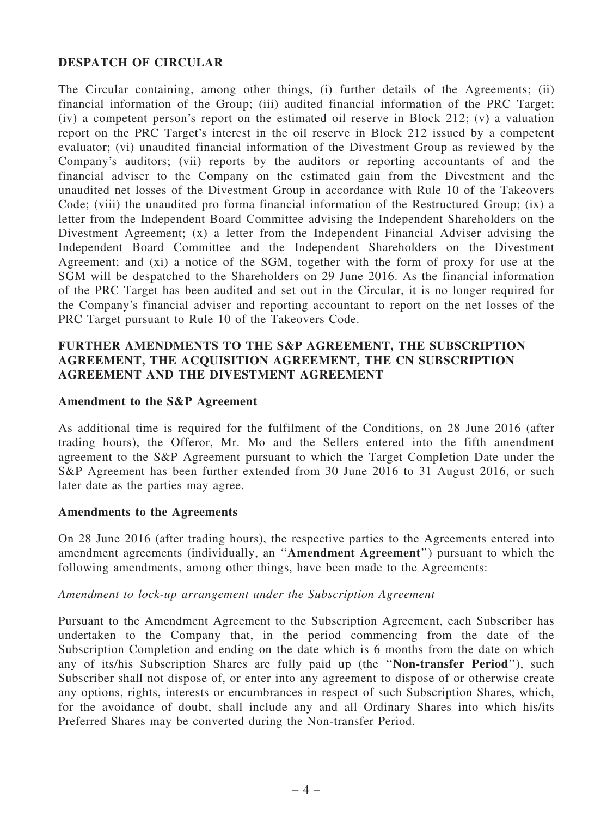### DESPATCH OF CIRCULAR

The Circular containing, among other things, (i) further details of the Agreements; (ii) financial information of the Group; (iii) audited financial information of the PRC Target; (iv) a competent person's report on the estimated oil reserve in Block 212; (v) a valuation report on the PRC Target's interest in the oil reserve in Block 212 issued by a competent evaluator; (vi) unaudited financial information of the Divestment Group as reviewed by the Company's auditors; (vii) reports by the auditors or reporting accountants of and the financial adviser to the Company on the estimated gain from the Divestment and the unaudited net losses of the Divestment Group in accordance with Rule 10 of the Takeovers Code; (viii) the unaudited pro forma financial information of the Restructured Group; (ix) a letter from the Independent Board Committee advising the Independent Shareholders on the Divestment Agreement; (x) a letter from the Independent Financial Adviser advising the Independent Board Committee and the Independent Shareholders on the Divestment Agreement; and (xi) a notice of the SGM, together with the form of proxy for use at the SGM will be despatched to the Shareholders on 29 June 2016. As the financial information of the PRC Target has been audited and set out in the Circular, it is no longer required for the Company's financial adviser and reporting accountant to report on the net losses of the PRC Target pursuant to Rule 10 of the Takeovers Code.

### FURTHER AMENDMENTS TO THE S&P AGREEMENT, THE SUBSCRIPTION AGREEMENT, THE ACQUISITION AGREEMENT, THE CN SUBSCRIPTION AGREEMENT AND THE DIVESTMENT AGREEMENT

#### Amendment to the S&P Agreement

As additional time is required for the fulfilment of the Conditions, on 28 June 2016 (after trading hours), the Offeror, Mr. Mo and the Sellers entered into the fifth amendment agreement to the S&P Agreement pursuant to which the Target Completion Date under the S&P Agreement has been further extended from 30 June 2016 to 31 August 2016, or such later date as the parties may agree.

#### Amendments to the Agreements

On 28 June 2016 (after trading hours), the respective parties to the Agreements entered into amendment agreements (individually, an ''Amendment Agreement'') pursuant to which the following amendments, among other things, have been made to the Agreements:

#### Amendment to lock-up arrangement under the Subscription Agreement

Pursuant to the Amendment Agreement to the Subscription Agreement, each Subscriber has undertaken to the Company that, in the period commencing from the date of the Subscription Completion and ending on the date which is 6 months from the date on which any of its/his Subscription Shares are fully paid up (the ''Non-transfer Period''), such Subscriber shall not dispose of, or enter into any agreement to dispose of or otherwise create any options, rights, interests or encumbrances in respect of such Subscription Shares, which, for the avoidance of doubt, shall include any and all Ordinary Shares into which his/its Preferred Shares may be converted during the Non-transfer Period.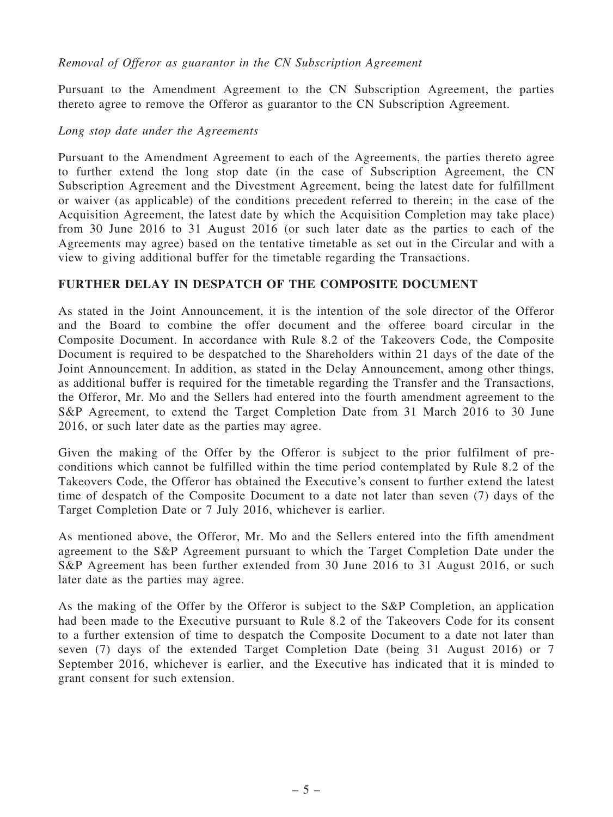### Removal of Offeror as guarantor in the CN Subscription Agreement

Pursuant to the Amendment Agreement to the CN Subscription Agreement, the parties thereto agree to remove the Offeror as guarantor to the CN Subscription Agreement.

### Long stop date under the Agreements

Pursuant to the Amendment Agreement to each of the Agreements, the parties thereto agree to further extend the long stop date (in the case of Subscription Agreement, the CN Subscription Agreement and the Divestment Agreement, being the latest date for fulfillment or waiver (as applicable) of the conditions precedent referred to therein; in the case of the Acquisition Agreement, the latest date by which the Acquisition Completion may take place) from 30 June 2016 to 31 August 2016 (or such later date as the parties to each of the Agreements may agree) based on the tentative timetable as set out in the Circular and with a view to giving additional buffer for the timetable regarding the Transactions.

## FURTHER DELAY IN DESPATCH OF THE COMPOSITE DOCUMENT

As stated in the Joint Announcement, it is the intention of the sole director of the Offeror and the Board to combine the offer document and the offeree board circular in the Composite Document. In accordance with Rule 8.2 of the Takeovers Code, the Composite Document is required to be despatched to the Shareholders within 21 days of the date of the Joint Announcement. In addition, as stated in the Delay Announcement, among other things, as additional buffer is required for the timetable regarding the Transfer and the Transactions, the Offeror, Mr. Mo and the Sellers had entered into the fourth amendment agreement to the S&P Agreement, to extend the Target Completion Date from 31 March 2016 to 30 June 2016, or such later date as the parties may agree.

Given the making of the Offer by the Offeror is subject to the prior fulfilment of preconditions which cannot be fulfilled within the time period contemplated by Rule 8.2 of the Takeovers Code, the Offeror has obtained the Executive's consent to further extend the latest time of despatch of the Composite Document to a date not later than seven (7) days of the Target Completion Date or 7 July 2016, whichever is earlier.

As mentioned above, the Offeror, Mr. Mo and the Sellers entered into the fifth amendment agreement to the S&P Agreement pursuant to which the Target Completion Date under the S&P Agreement has been further extended from 30 June 2016 to 31 August 2016, or such later date as the parties may agree.

As the making of the Offer by the Offeror is subject to the S&P Completion, an application had been made to the Executive pursuant to Rule 8.2 of the Takeovers Code for its consent to a further extension of time to despatch the Composite Document to a date not later than seven (7) days of the extended Target Completion Date (being 31 August 2016) or 7 September 2016, whichever is earlier, and the Executive has indicated that it is minded to grant consent for such extension.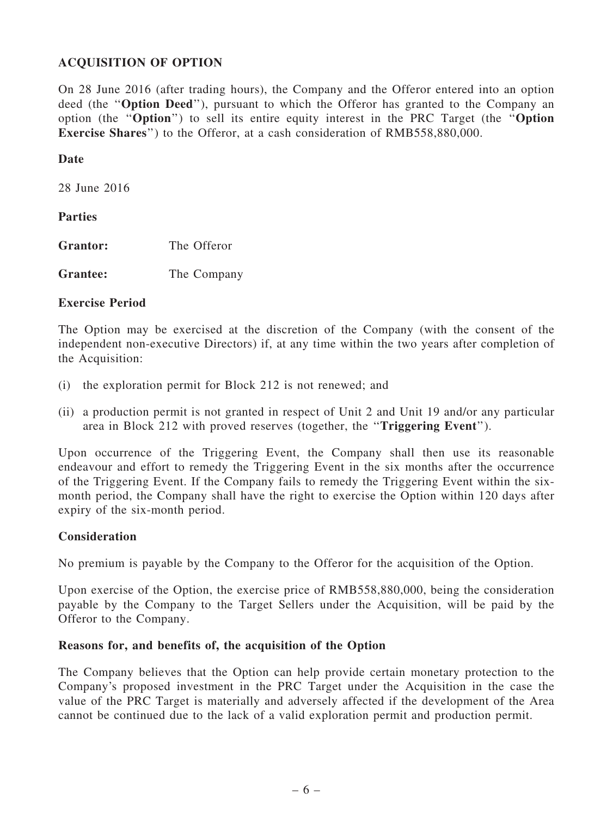## ACQUISITION OF OPTION

On 28 June 2016 (after trading hours), the Company and the Offeror entered into an option deed (the "Option Deed"), pursuant to which the Offeror has granted to the Company an option (the ''Option'') to sell its entire equity interest in the PRC Target (the ''Option Exercise Shares'') to the Offeror, at a cash consideration of RMB558,880,000.

### Date

28 June 2016

### Parties

| <b>Grantor:</b> | The Offeror |
|-----------------|-------------|
|                 |             |

Grantee: The Company

### Exercise Period

The Option may be exercised at the discretion of the Company (with the consent of the independent non-executive Directors) if, at any time within the two years after completion of the Acquisition:

- (i) the exploration permit for Block 212 is not renewed; and
- (ii) a production permit is not granted in respect of Unit 2 and Unit 19 and/or any particular area in Block 212 with proved reserves (together, the ''Triggering Event'').

Upon occurrence of the Triggering Event, the Company shall then use its reasonable endeavour and effort to remedy the Triggering Event in the six months after the occurrence of the Triggering Event. If the Company fails to remedy the Triggering Event within the sixmonth period, the Company shall have the right to exercise the Option within 120 days after expiry of the six-month period.

### Consideration

No premium is payable by the Company to the Offeror for the acquisition of the Option.

Upon exercise of the Option, the exercise price of RMB558,880,000, being the consideration payable by the Company to the Target Sellers under the Acquisition, will be paid by the Offeror to the Company.

### Reasons for, and benefits of, the acquisition of the Option

The Company believes that the Option can help provide certain monetary protection to the Company's proposed investment in the PRC Target under the Acquisition in the case the value of the PRC Target is materially and adversely affected if the development of the Area cannot be continued due to the lack of a valid exploration permit and production permit.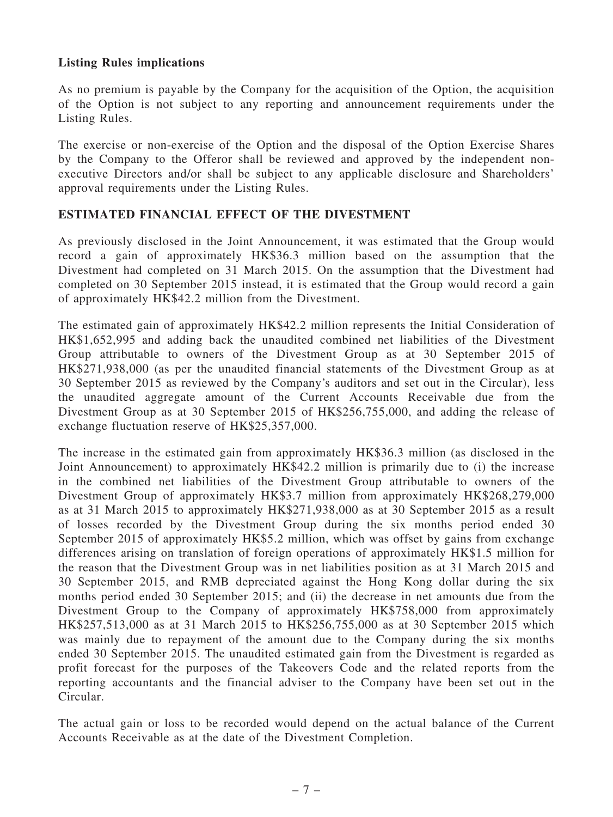### Listing Rules implications

As no premium is payable by the Company for the acquisition of the Option, the acquisition of the Option is not subject to any reporting and announcement requirements under the Listing Rules.

The exercise or non-exercise of the Option and the disposal of the Option Exercise Shares by the Company to the Offeror shall be reviewed and approved by the independent nonexecutive Directors and/or shall be subject to any applicable disclosure and Shareholders' approval requirements under the Listing Rules.

## ESTIMATED FINANCIAL EFFECT OF THE DIVESTMENT

As previously disclosed in the Joint Announcement, it was estimated that the Group would record a gain of approximately HK\$36.3 million based on the assumption that the Divestment had completed on 31 March 2015. On the assumption that the Divestment had completed on 30 September 2015 instead, it is estimated that the Group would record a gain of approximately HK\$42.2 million from the Divestment.

The estimated gain of approximately HK\$42.2 million represents the Initial Consideration of HK\$1,652,995 and adding back the unaudited combined net liabilities of the Divestment Group attributable to owners of the Divestment Group as at 30 September 2015 of HK\$271,938,000 (as per the unaudited financial statements of the Divestment Group as at 30 September 2015 as reviewed by the Company's auditors and set out in the Circular), less the unaudited aggregate amount of the Current Accounts Receivable due from the Divestment Group as at 30 September 2015 of HK\$256,755,000, and adding the release of exchange fluctuation reserve of HK\$25,357,000.

The increase in the estimated gain from approximately HK\$36.3 million (as disclosed in the Joint Announcement) to approximately HK\$42.2 million is primarily due to (i) the increase in the combined net liabilities of the Divestment Group attributable to owners of the Divestment Group of approximately HK\$3.7 million from approximately HK\$268,279,000 as at 31 March 2015 to approximately HK\$271,938,000 as at 30 September 2015 as a result of losses recorded by the Divestment Group during the six months period ended 30 September 2015 of approximately HK\$5.2 million, which was offset by gains from exchange differences arising on translation of foreign operations of approximately HK\$1.5 million for the reason that the Divestment Group was in net liabilities position as at 31 March 2015 and 30 September 2015, and RMB depreciated against the Hong Kong dollar during the six months period ended 30 September 2015; and (ii) the decrease in net amounts due from the Divestment Group to the Company of approximately HK\$758,000 from approximately HK\$257,513,000 as at 31 March 2015 to HK\$256,755,000 as at 30 September 2015 which was mainly due to repayment of the amount due to the Company during the six months ended 30 September 2015. The unaudited estimated gain from the Divestment is regarded as profit forecast for the purposes of the Takeovers Code and the related reports from the reporting accountants and the financial adviser to the Company have been set out in the Circular.

The actual gain or loss to be recorded would depend on the actual balance of the Current Accounts Receivable as at the date of the Divestment Completion.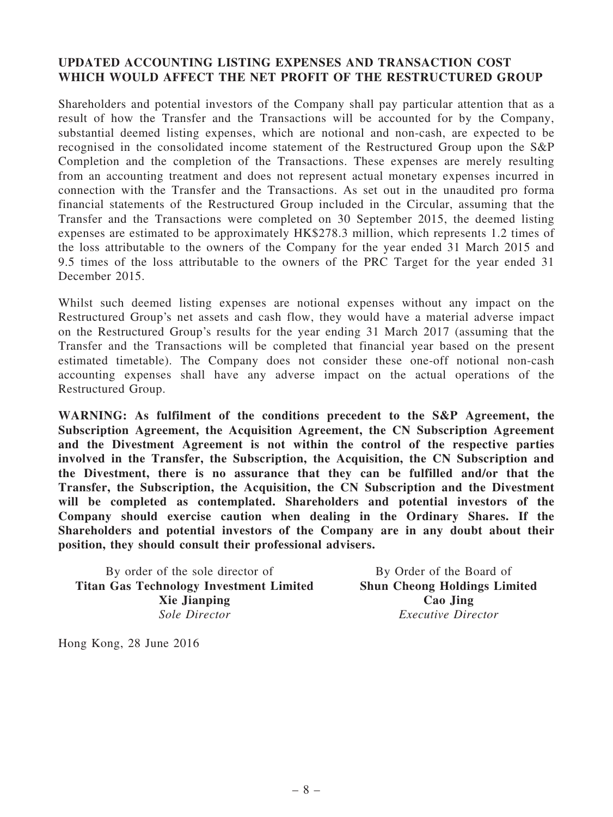### UPDATED ACCOUNTING LISTING EXPENSES AND TRANSACTION COST WHICH WOULD AFFECT THE NET PROFIT OF THE RESTRUCTURED GROUP

Shareholders and potential investors of the Company shall pay particular attention that as a result of how the Transfer and the Transactions will be accounted for by the Company, substantial deemed listing expenses, which are notional and non-cash, are expected to be recognised in the consolidated income statement of the Restructured Group upon the S&P Completion and the completion of the Transactions. These expenses are merely resulting from an accounting treatment and does not represent actual monetary expenses incurred in connection with the Transfer and the Transactions. As set out in the unaudited pro forma financial statements of the Restructured Group included in the Circular, assuming that the Transfer and the Transactions were completed on 30 September 2015, the deemed listing expenses are estimated to be approximately HK\$278.3 million, which represents 1.2 times of the loss attributable to the owners of the Company for the year ended 31 March 2015 and 9.5 times of the loss attributable to the owners of the PRC Target for the year ended 31 December 2015.

Whilst such deemed listing expenses are notional expenses without any impact on the Restructured Group's net assets and cash flow, they would have a material adverse impact on the Restructured Group's results for the year ending 31 March 2017 (assuming that the Transfer and the Transactions will be completed that financial year based on the present estimated timetable). The Company does not consider these one-off notional non-cash accounting expenses shall have any adverse impact on the actual operations of the Restructured Group.

WARNING: As fulfilment of the conditions precedent to the S&P Agreement, the Subscription Agreement, the Acquisition Agreement, the CN Subscription Agreement and the Divestment Agreement is not within the control of the respective parties involved in the Transfer, the Subscription, the Acquisition, the CN Subscription and the Divestment, there is no assurance that they can be fulfilled and/or that the Transfer, the Subscription, the Acquisition, the CN Subscription and the Divestment will be completed as contemplated. Shareholders and potential investors of the Company should exercise caution when dealing in the Ordinary Shares. If the Shareholders and potential investors of the Company are in any doubt about their position, they should consult their professional advisers.

By order of the sole director of Titan Gas Technology Investment Limited Xie Jianping Sole Director

By Order of the Board of Shun Cheong Holdings Limited Cao Jing Executive Director

Hong Kong, 28 June 2016